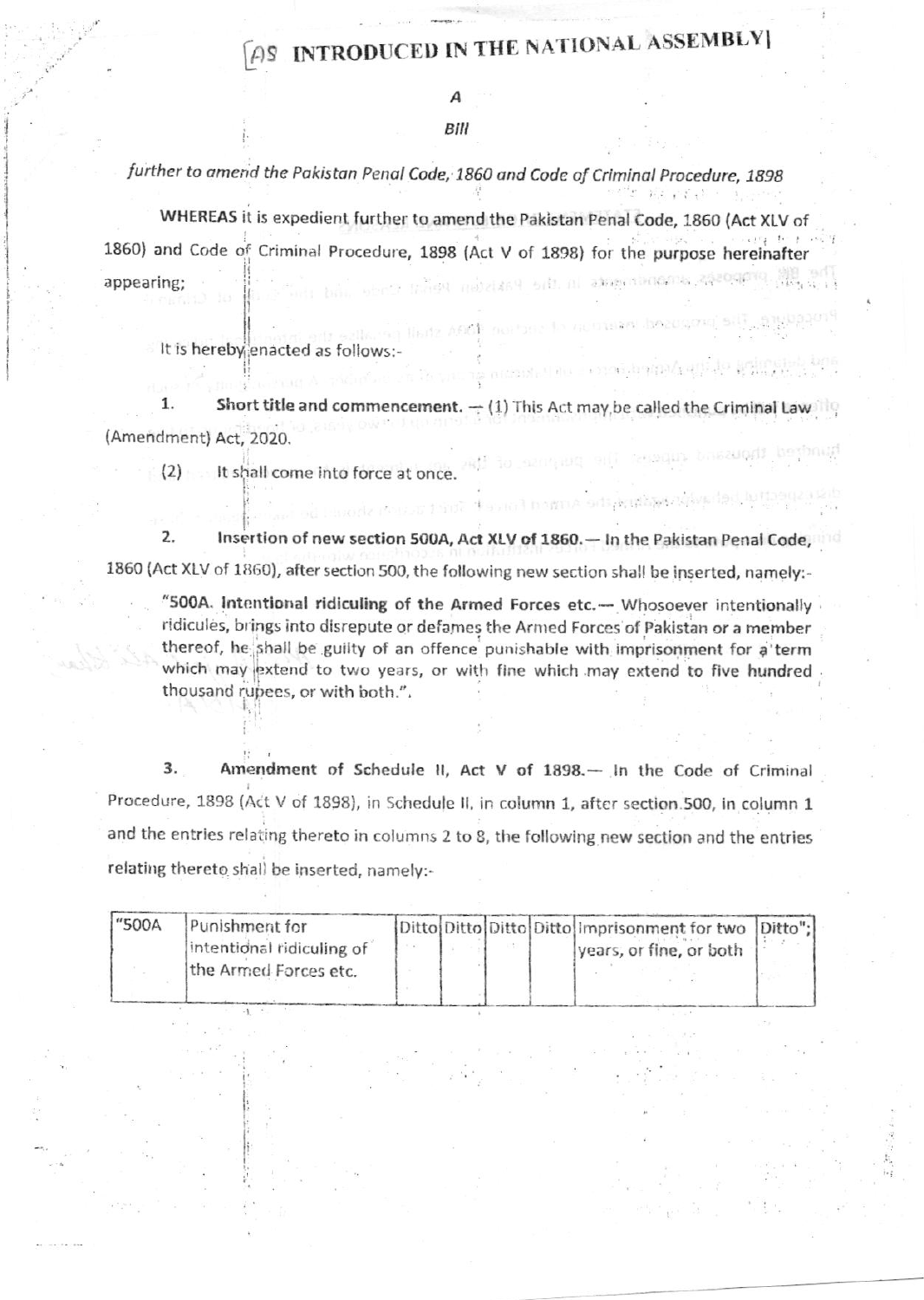## **AS INTRODUCED IN THE NATIONAL ASSEMBLY**

2020 2030 20

strant, the connection and do remain

DISTUAL SITE ACIDEMICATION

#### Bill

further to amend the Pakistan Penal Code, 1860 and Code of Criminal Procedure, 1898

WHEREAS it is expedient further to amend the Pakistan Penal Code, 1860 (Act XLV of 1860) and Code of Criminal Procedure, 1898 (Act V of 1898) for the purpose hereinafter රිගේ ගන්නාවට වැඩි හා ක්ෂෙතාවයකොට දකිවරටුවෙයි. මුහු මුහු appearing:

It is hereby enacted as follows:-

1. Short title and commencement.  $\rightarrow$  (1) This Act may be called the Criminal Law (Amendment) Act. 2020. Rindred thousand auprosi The period

(2) It shall come into force at once.

 $2.$ Insertion of new section 500A, Act XLV of 1860. - In the Pakistan Penal Code, 1860 (Act XLV of 1860), after section 500, the following new section shall be inserted, namely:-

"500A. Intentional ridiculing of the Armed Forces etc.- Whosoever intentionally ridicules, brings into disrepute or defames the Armed Forces of Pakistan or a member thereof, he shall be guilty of an offence punishable with imprisonment for a term which may extend to two years, or with fine which may extend to five hundred. thousand rupees, or with both.".

Amendment of Schedule II, Act V of 1898.- In the Code of Criminal 3. Procedure, 1898 (Act V of 1898), in Schedule II, in column 1, after section 500, in column 1 and the entries relating thereto in columns 2 to 8, the following new section and the entries relating thereto shall be inserted, namely:-

| Ditto Ditto Ditto Ditto Imprisonment for two Ditto"; |  |  | Punishment for            | "500A |
|------------------------------------------------------|--|--|---------------------------|-------|
| years, or fine, or both                              |  |  | intentional ridiculing of |       |
|                                                      |  |  | the Armed Forces etc.     |       |
|                                                      |  |  |                           |       |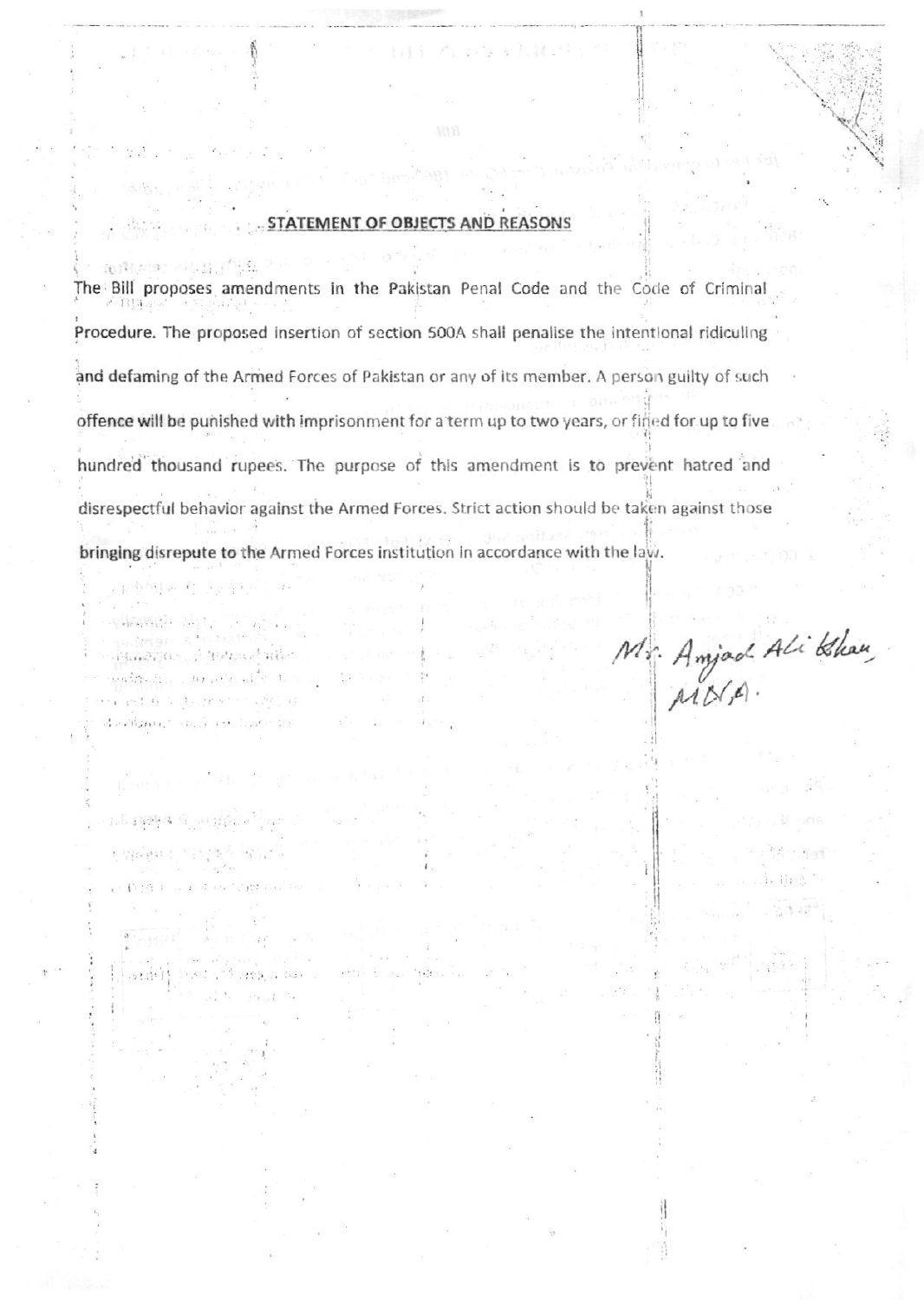#### OF OBJECTS AN **STATEMENT REASONS**

h Halenet (@14,11) (i)

21 한역12 A (22:49)

ala nyapati sa ngay

stili Mari

on e d'indificant dou

 $.450.1$ 

596 PAL 3

Core car.

网络网络 医急性 医心包

alland film of Abdroad Wile' entango sports de l planet as to decrease a contract bealgain," saily art liller by

同位 The Bill proposes amendments in the Pakistan Penal Code and the Code of Criminal  $r - 1314.$ Procedure. The proposed insertion of section 500A shall penalise the intentional ridiculing and defaming of the Armed Forces of Pakistan or any of its member. A person guilty of such offence will be punished with imprisonment for a term up to two years, or fined for up to five hundred thousand rupees. The purpose of this amendment is to prevent hatred and disrespectful behavior against the Armed Forces. Strict action should be taken against those bringing disrepute to the Armed Forces institution in accordance with the law.

 $1.21 -$ 

Mr. Anjad Ali Blau